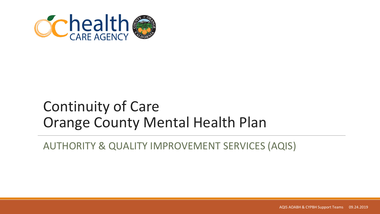

#### Continuity of Care Orange County Mental Health Plan

AUTHORITY & QUALITY IMPROVEMENT SERVICES (AQIS)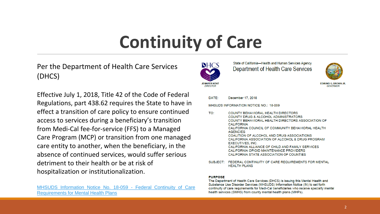# **Continuity of Care**

Per the Department of Health Care Services (DHCS)

Effective July 1, 2018, Title 42 of the Code of Federal Regulations, part 438.62 requires the State to have in effect a transition of care policy to ensure continued access to services during a beneficiary's transition from Medi-Cal fee-for-service (FFS) to a Managed Care Program (MCP) or transition from one managed care entity to another, when the beneficiary, in the absence of continued services, would suffer serious detriment to their health or be at risk of hospitalization or institutionalization.



State of California-Health and Human Services Agency Department of Health Care Services



GOVERNOR

DATE: December 17, 2018

MHSUDS INFORMATION NOTICE NO.: 18-059

- $T\Omega$ COUNTY BEHAVIORAL HEALTH DIRECTORS **COUNTY DRUG & ALCOHOL ADMINISTRATORS** COUNTY BEHAVIORAL HEALTH DIRECTORS ASSOCIATION OF **CALIFORNIA** CALIFORNIA COUNCIL OF COMMUNITY BEHAVIORAL HEALTH **AGENCIES** COALITION OF ALCOHOL AND DRUG ASSOCIATIONS CALIFORNIA ASSOCIATION OF ALCOHOL & DRUG PROGRAM **EXECUTIVES, INC.** CALIFORNIA ALLIANCE OF CHILD AND FAMILY SERVICES CALIFORNIA OPIOID MAINTENANCE PROVIDERS CALIFORNIA STATE ASSOCIATION OF COUNTIES
- FEDERAL CONTINUITY OF CARE REQUIREMENTS FOR MENTAL SUBJECT: **HEALTH PLANS**

#### **PURPOSE**

The Department of Health Care Services (DHCS) is issuing this Mental Health and Substance Use Disorder Services (MHSUDS) Information Notice (IN) to set forth continuity of care requirements for Medi-Cal beneficiaries who receive specialty mental health services (SMHS) from county mental health plans (MHPs).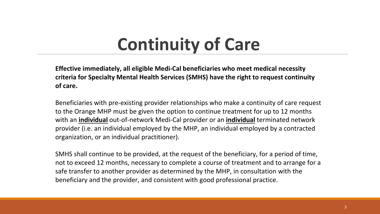### **Continuity of Care**

**Effective immediately, all eligible Medi-Cal beneficiaries who meet medical necessity criteria for Specialty Mental Health Services (SMHS) have the right to request continuity of care.** 

Beneficiaries with pre-existing provider relationships who make a continuity of care request to the Orange MHP must be given the option to continue treatment for up to 12 months with an **individual** out-of-network Medi-Cal provider or an **individual** terminated network provider (i.e. an individual employed by the MHP, an individual employed by a contracted organization, or an individual practitioner).

SMHS shall continue to be provided, at the request of the beneficiary, for a period of time, not to exceed 12 months, necessary to complete a course of treatment and to arrange for a safe transfer to another provider as determined by the MHP, in consultation with the beneficiary and the provider, and consistent with good professional practice.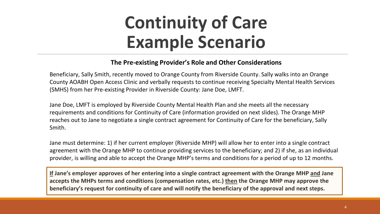## **Continuity of Care Example Scenario**

#### **The Pre-existing Provider's Role and Other Considerations**

Beneficiary, Sally Smith, recently moved to Orange County from Riverside County. Sally walks into an Orange County AOABH Open Access Clinic and verbally requests to continue receiving Specialty Mental Health Services (SMHS) from her Pre-existing Provider in Riverside County: Jane Doe, LMFT.

Jane Doe, LMFT is employed by Riverside County Mental Health Plan and she meets all the necessary requirements and conditions for Continuity of Care (information provided on next slides). The Orange MHP reaches out to Jane to negotiate a single contract agreement for Continuity of Care for the beneficiary, Sally Smith.

Jane must determine: 1) if her current employer (Riverside MHP) will allow her to enter into a single contract agreement with the Orange MHP to continue providing services to the beneficiary; and 2) if she, as an individual provider, is willing and able to accept the Orange MHP's terms and conditions for a period of up to 12 months.

**If Jane's employer approves of her entering into a single contract agreement with the Orange MHP and Jane accepts the MHPs terms and conditions (compensation rates, etc.) then the Orange MHP may approve the beneficiary's request for continuity of care and will notify the beneficiary of the approval and next steps.**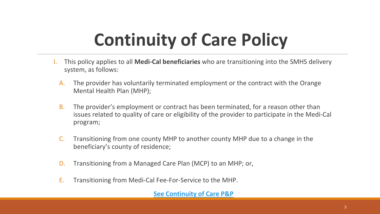# **Continuity of Care Policy**

- I. This policy applies to all **Medi-Cal beneficiaries** who are transitioning into the SMHS delivery system, as follows:
	- A. The provider has voluntarily terminated employment or the contract with the Orange Mental Health Plan (MHP);
	- B. The provider's employment or contract has been terminated, for a reason other than issues related to quality of care or eligibility of the provider to participate in the Medi-Cal program;
	- C. Transitioning from one county MHP to another county MHP due to a change in the beneficiary's county of residence;
	- D. Transitioning from a Managed Care Plan (MCP) to an MHP; or,
	- E. Transitioning from Medi-Cal Fee-For-Service to the MHP.

**[See Continuity of Care P&P](http://www.ochealthinfo.com/civicax/filebank/blobdload.aspx?BlobID=102823)**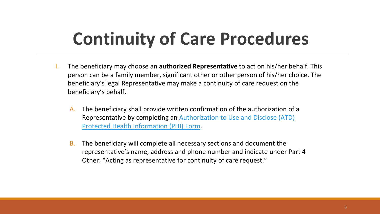# **Continuity of Care Procedures**

- I. The beneficiary may choose an **authorized Representative** to act on his/her behalf. This person can be a family member, significant other or other person of his/her choice. The beneficiary's legal Representative may make a continuity of care request on the beneficiary's behalf.
	- A. The beneficiary shall provide written confirmation of the authorization of a [Representative by completing an Authorization to Use and Disclose \(ATD\)](http://www.ochealthinfo.com/bhs/about/aqis/aoabh/downloads)  Protected Health Information (PHI) Form.
	- B. The beneficiary will complete all necessary sections and document the representative's name, address and phone number and indicate under Part 4 Other: "Acting as representative for continuity of care request."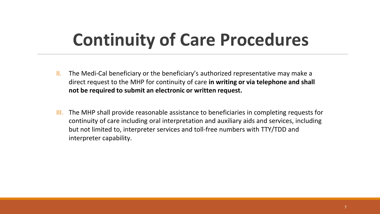### **Continuity of Care Procedures**

- II. The Medi-Cal beneficiary or the beneficiary's authorized representative may make a direct request to the MHP for continuity of care **in writing or via telephone and shall not be required to submit an electronic or written request.**
- III. The MHP shall provide reasonable assistance to beneficiaries in completing requests for continuity of care including oral interpretation and auxiliary aids and services, including but not limited to, interpreter services and toll-free numbers with TTY/TDD and interpreter capability.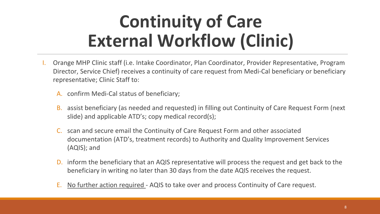# **Continuity of Care External Workflow (Clinic)**

- I. Orange MHP Clinic staff (i.e. Intake Coordinator, Plan Coordinator, Provider Representative, Program Director, Service Chief) receives a continuity of care request from Medi-Cal beneficiary or beneficiary representative; Clinic Staff to:
	- A. confirm Medi-Cal status of beneficiary;
	- B. assist beneficiary (as needed and requested) in filling out Continuity of Care Request Form (next slide) and applicable ATD's; copy medical record(s);
	- C. scan and secure email the Continuity of Care Request Form and other associated documentation (ATD's, treatment records) to Authority and Quality Improvement Services (AQIS); and
	- D. inform the beneficiary that an AQIS representative will process the request and get back to the beneficiary in writing no later than 30 days from the date AQIS receives the request.
	- E. No further action required AQIS to take over and process Continuity of Care request.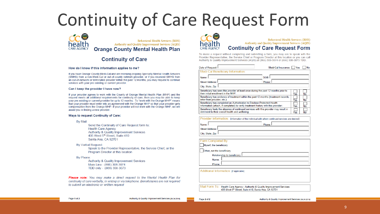### **Continuity of Care Request Form**



#### **Continuity of Care**

#### How do I know if this information applies to me?

If you have Orange County Medi-Cal and are receiving ongoing Specialty Mental Health Services (SMHS) from a non-Medi-Cal or out-of-county network provider, or if you received SMHS from an out-of-network or terminated provider within the past 12 months, you may request to continue services with your pre-existing or current provider.

#### Can I keep the provider I have now?

If your provider agrees to work with the County of Orange Mental Health Plan (MHP) and the request meets all additional requirements for continuity of care, then you may be able to keep your pre-existing or current provider for up to 12 months. To "work with the Orange MHP" means that your provider must enter into an agreement with the Orange MHP so that your provider gets compensation from the Orange MHP. If your provider will not work with the Orange MHP, we will assist you in finding a new provider.

#### Ways to request Continuity of Care:

**By Mail** 

Send the Continuity of Care Request form to: **Health Care Agency Authority & Quality Improvement Services** 405 West 5th Street, Suite 410 Santa Ana, CA 92701

**By Verbal Request:** 

Speak to the Provider Representative, the Service Chief, or the **Program Director at this location** 

By Phone:

Authority & Quality Improvement Services Main Line - (866) 308-3074 TDD only - (866) 308-3073

**Please note:** You may make a direct request to the Mental Health Plan for continuity of care verbally, in writing or via telephone. Beneficiaries are not required to submit an electronic or written request



To make a request without completing and submitting a form, you may ask to speak with the Provider Representative, the Service Chief or Program Director at this location or you can call Authority & Quality Improvement Services (AQIS) at (866) 308-3074 or (866) 308-3073 TDD.

| Date of Request:                                                                                                                                              | Medi-Cal Insurance:   Yes |     | No |
|---------------------------------------------------------------------------------------------------------------------------------------------------------------|---------------------------|-----|----|
| Medi-Cal Beneficiary Information:                                                                                                                             |                           |     |    |
| Name:                                                                                                                                                         | DOB-                      |     |    |
| <b>Street Address:</b>                                                                                                                                        | Phone:                    |     |    |
| City, State, Zip:                                                                                                                                             |                           |     |    |
| Beneficiary has seen this provider at least once during the past 12 months prior to<br>their initial enrollment in the MHP:                                   |                           | Yes | No |
| Beneficiary has evidence of treatment within the past 12 months (treatment records,<br>letter from provider, etc.):                                           | Yes                       | No  |    |
| Beneficiary has completed an Authorization to Disclose Protected Health<br>Information (attach, if completed) to verify treatment history with this provider: | Yes                       | No  |    |
| Beneficiary feels the absence of continued services with this provider may result in<br>detriment to their overall health and wellbeing:                      | Yes                       | No  |    |

|                      | Provider Information: [information of the individual with whom continued services are desired] |
|----------------------|------------------------------------------------------------------------------------------------|
| Name: L              | Phone: I                                                                                       |
| Street Address: I.   |                                                                                                |
| City, State, Zip: II |                                                                                                |

Form Completed By:

Myself, the beneficiary

Other, not the beneficiary

Relationship to beneficiary:

Name:

Phone:

Additional Information: [if applicable]

Mail Form To: Health Care Agency - Authority & Quality Improvement Services 405 West 5th Street, Suite 410, Santa Ana, CA 92701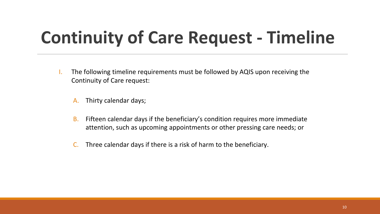# **Continuity of Care Request - Timeline**

- I. The following timeline requirements must be followed by AQIS upon receiving the Continuity of Care request:
	- A. Thirty calendar days;
	- B. Fifteen calendar days if the beneficiary's condition requires more immediate attention, such as upcoming appointments or other pressing care needs; or
	- C. Three calendar days if there is a risk of harm to the beneficiary.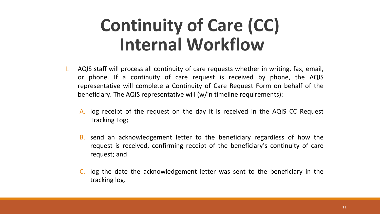### **Continuity of Care (CC) Internal Workflow**

- I. AQIS staff will process all continuity of care requests whether in writing, fax, email, or phone. If a continuity of care request is received by phone, the AQIS representative will complete a Continuity of Care Request Form on behalf of the beneficiary. The AQIS representative will (w/in timeline requirements):
	- A. log receipt of the request on the day it is received in the AQIS CC Request Tracking Log;
	- B. send an acknowledgement letter to the beneficiary regardless of how the request is received, confirming receipt of the beneficiary's continuity of care request; and
	- C. log the date the acknowledgement letter was sent to the beneficiary in the tracking log.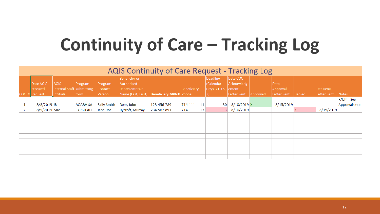# **Continuity of Care – Tracking Log**

| <b>AQIS Continuity of Care Request - Tracking Log</b> |                                          |                                                              |                  |                              |                                                                     |                        |              |                                                    |                                       |          |                                        |        |                           |                               |
|-------------------------------------------------------|------------------------------------------|--------------------------------------------------------------|------------------|------------------------------|---------------------------------------------------------------------|------------------------|--------------|----------------------------------------------------|---------------------------------------|----------|----------------------------------------|--------|---------------------------|-------------------------------|
|                                                       | Date AQIS<br>received<br>$COC$ # Request | <b>AQIS</b><br>Internal Staff submitting<br><b>Intitials</b> | Program<br> form | Program<br>Contact<br>Person | Beneficier or<br>Authorized<br>Representative<br>Name (Last, First) | Beneficiary MRN# Phone | Beneficiary  | <b>Deadline</b><br>(Calendar<br>Days 30, 15, ement | Date COC<br>Acknowledg<br>Letter Sent | Approved | Date<br>Approval<br><b>Letter Sent</b> | Denied | Dat Denial<br>Letter Sent | Notes                         |
| 1                                                     | 8/8/2019 JR                              |                                                              | <b>AOABH SA</b>  | Sally Smith                  | Deer, John                                                          | 123-456-789            | 714-111-1111 | 30 <sup>1</sup>                                    | $8/10/2019$ X                         |          | 8/15/2019                              |        |                           | $F/UP - See$<br>Approvals tab |
| 2                                                     | 8/9/2019 MM                              |                                                              | <b>CYPBH AH</b>  | Jane Doe                     | Rycroft, Murray                                                     | 234-567-891            | 714-111-1112 | 31                                                 | 8/10/2019                             |          |                                        |        | 8/15/2019                 |                               |
|                                                       |                                          |                                                              |                  |                              |                                                                     |                        |              |                                                    |                                       |          |                                        |        |                           |                               |
|                                                       |                                          |                                                              |                  |                              |                                                                     |                        |              |                                                    |                                       |          |                                        |        |                           |                               |
|                                                       |                                          |                                                              |                  |                              |                                                                     |                        |              |                                                    |                                       |          |                                        |        |                           |                               |
|                                                       |                                          |                                                              |                  |                              |                                                                     |                        |              |                                                    |                                       |          |                                        |        |                           |                               |
|                                                       |                                          |                                                              |                  |                              |                                                                     |                        |              |                                                    |                                       |          |                                        |        |                           |                               |
|                                                       |                                          |                                                              |                  |                              |                                                                     |                        |              |                                                    |                                       |          |                                        |        |                           |                               |
|                                                       |                                          |                                                              |                  |                              |                                                                     |                        |              |                                                    |                                       |          |                                        |        |                           |                               |
|                                                       |                                          |                                                              |                  |                              |                                                                     |                        |              |                                                    |                                       |          |                                        |        |                           |                               |
|                                                       |                                          |                                                              |                  |                              |                                                                     |                        |              |                                                    |                                       |          |                                        |        |                           |                               |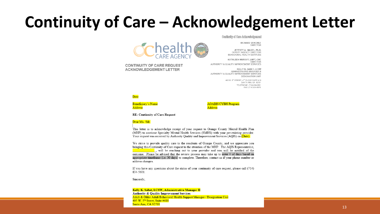#### Continuity of Care – Acknowledgement Letter

**Schealth (** 

Continuity of Care Acknowledgement

RICHARD SANCHEZ DIRECTOR

JEFFREY A. NAGEL, Ph.D. DEPUTY AGENCY DIRECTOR BEHAVIORAL HEALTH SERVICES

KATHLEEN MURRAY, LMFT, CHC **DIRECTOR** AUTHORITY & QUALITY IMPROVEMENT SERVICES

KELLY K. SABET. LCSW ADMINISTRATIVE MANAGER II AUTHORITY & QUALITY IMPROVEMENT SERVICES **DESIGNATION UNIT** 

> 405 W. 5th STREET, 4TH FLOOR SUITE 410 SANTA ANA, CA 92701 TELEPHONE: (714) 834-5601 FAX: (714) 834-6575

Date

Beneficiary's Name Address



**RE: Continuity of Care Request** 

**CONTINUITY OF CARE REQUEST ACKNOWLEDGEMENT LETTER** 

#### Dear Ms. /Mr.

This letter is to acknowledge receipt of your request to Orange County Mental Health Plan (MHP) to continue Specialty Mental Health Services (SMHS) with your pre-existing provider. Your request was received by Authority Quality and Improvement Services (AQIS) on (Date).

We strive to provide quality care to the residents of Orange County, and we appreciate you bringing this Continuity of Care request to the attention of the MHP. The AQIS Representative, will be reaching out to your provider and you will be notified of the outcome. Please be advised that the review process may take up to enter # of days based on appropriate timeframe (i.e. 30 days) to complete. Therefore, contact us if your phone number or address changes.

If you have any questions about the status of your continuity of care request, please call (714) 834-5601.

Sincerely,

Kelly K. Sabet, LCSW, Administrative Manager II Authority & Quality Improvement Services Adult & Older Adult Behavioral Health Support Manager / Designation Unit  $405$  W.  $5<sup>th</sup>$  Street, Suite #410 Santa Ana, CA 92701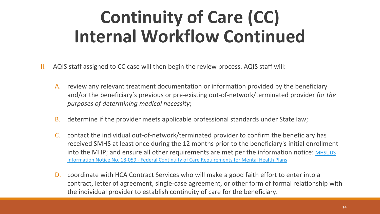# **Continuity of Care (CC) Internal Workflow Continued**

- II. AQIS staff assigned to CC case will then begin the review process. AQIS staff will:
	- A. review any relevant treatment documentation or information provided by the beneficiary and/or the beneficiary's previous or pre-existing out-of-network/terminated provider *for the purposes of determining medical necessity*;
	- B. determine if the provider meets applicable professional standards under State law;
	- contact the individual out-of-network/terminated provider to confirm the beneficiary has received SMHS at least once during the 12 months prior to the beneficiary's initial enrollment [into the MHP; and ensure all other requirements are met per the information notice: MHSUDS](https://www.dhcs.ca.gov/services/MH/Documents/Information%20Notices/IN_18-059_Continuity_of_Care/MHSUDS_Information_Notice_18-059_Continuity_of_Care.pdf) Information Notice No. 18-059 - Federal Continuity of Care Requirements for Mental Health Plans
	- D. coordinate with HCA Contract Services who will make a good faith effort to enter into a contract, letter of agreement, single-case agreement, or other form of formal relationship with the individual provider to establish continuity of care for the beneficiary.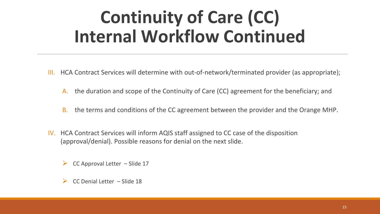# **Continuity of Care (CC) Internal Workflow Continued**

- III. HCA Contract Services will determine with out-of-network/terminated provider (as appropriate);
	- A. the duration and scope of the Continuity of Care (CC) agreement for the beneficiary; and
	- B. the terms and conditions of the CC agreement between the provider and the Orange MHP.
- IV. HCA Contract Services will inform AQIS staff assigned to CC case of the disposition (approval/denial). Possible reasons for denial on the next slide.
	- CC Approval Letter Slide 17
	- CC Denial Letter Slide 18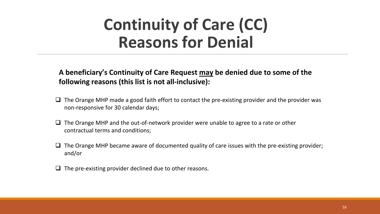### **Continuity of Care (CC) Reasons for Denial**

**A beneficiary's Continuity of Care Request may be denied due to some of the following reasons (this list is not all-inclusive):** 

- $\Box$  The Orange MHP made a good faith effort to contact the pre-existing provider and the provider was non-responsive for 30 calendar days;
- $\Box$  The Orange MHP and the out-of-network provider were unable to agree to a rate or other contractual terms and conditions;
- $\Box$  The Orange MHP became aware of documented quality of care issues with the pre-existing provider; and/or
- $\Box$  The pre-existing provider declined due to other reasons.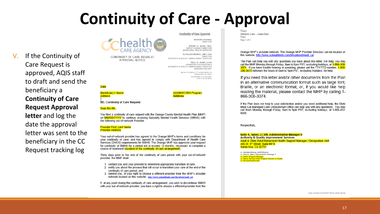### **Continuity of Care - Approval**



CONTINUITY OF CARE REQUEST **APPROVAL NOTICE** 

Confination of Care Ameroval

RICHARD SANCHEZ DIRECTOR

JEFFREY A. NAGEL, Ph.D. DEPUTY AGENCY DIRECTOR BEHAVIORAL HEALTH SERVICES

KATHLEEN MURRAY, LMFT, CHC AUTHORITY & QUALITY IMPROVEMENT SERVICES

KELLY K. SABET, LC SW ADMINISTRATIVE MANAGER II AUTHORITY & QUALITY IMPROVEMENT SERVICES **DESIGNATION UNIT** 

> 405 W. 5<sup>th</sup> STREET, 4<sup>th</sup> FLOOR SUITE 410 SANTA ANA, CA 92701 TELEPHONE: (714) S34-5801 FAX: (714) 834-6575

#### **Date**

If the Continuity of

approved, AQIS staff

to draft and send the

**Continuity of Care** 

**Request Approval** 

letter and log the

date the approval

letter was sent to the

beneficiary in the CC

Request tracking log

Care Request is

beneficiary a

 $V_{\cdot}$ 

Beneficiary's Name **Address** 

**AOABH/CYBH Program Address** 

**RE: Continuity of Care Request** 

#### Dear Ms./Mr.

You filed a continuity of care request with the Orange County Mental Health Plan (MHP) on MM/DD/YYYY to continue receiving Specialty Mental Health Services (SMHS) with the following out-of-network Provider:

#### **Provider First, Last Name Provider Address**

Your out-of-network provider has agreed to the Orange MHP's terms and conditions for your continuity of care; and has agreed to comply with Department of Health Care Services (DHCS) requirements for SMHS. The Orange MHP has approved your request for continuity of SMHS for a period not to exceed 12 months, necessary to complete a course of treatment (duration of the continuity of care arrangement).

Thirty days prior to the end of the continuity of care period with your out-of-network provider, the MHP shall:

- 1. contact you and your provider to determine appropriate transition of care,
- 2. notify you about the process that will occur to transition your care at the end of the continuity of care period; and
- 3. remind you, of your right to choose a different provider from the MHP's provider network located on this website : http://www.ochealthinfo.com/bhs/about/medi\_cal

If, at any point during the continuity of care arrangement, you wish to discontinue SMHS with your out-of-network provider, you have a right to choose a different provider from the Subject Line - same font Date Page 2 of 2

Orange MHP's provider network. The Orange MHP Provider Directory can be located on this website: http://www.ochealthinfo.com/bhs/about/medi cal.

The Plan can help you with any questions you have about this letter. For help, you may call the MHP Monday through Friday, 8am to 5pm PST, excluding holidays, at 1-866-308-3074. If you have trouble hearing or speaking, please call the TTY/TTD number, 1-866-308-3073 between the hours of 8am to 5pm PST, excluding holidays, for help.

If you need this letter and/or other documents from the Plan in an alternative communication format such as large font. Braille, or an electronic format, or, if you would like help reading the material, please contact the MHP by calling 1-866-308-3074.

If the Plan does not help to your satisfaction and/or you need additional help, the State Medi-Cal Managed Care Ombudsman Office can help you with any questions. You may call them Monday through Friday, 8am to 5pm PST, excluding holidays, at 1-888-452-8609

Respectfully

Kelly K. Sabet, LCSW, Administrative Manager II **Authority & Quality Improvement Services** Adult & Older Adult Behavioral Health Support Manager / Designation Unit 405 W. 5<sup>th</sup> Street. Suite #410 Santa Ana, CA 92701

cc: Kathleen Murray, AQIS Director cc: Kelly K. Sabet, Administrative Manager II ios: Name, Program Manager<br>os: Name, Service Chief, Program Director or Facility c: Pre-existing Provider

AQIS-AQABH SUPPORT TEAM 2019-08-06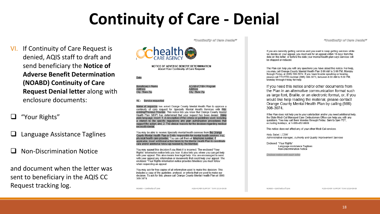### **Continuity of Care - Denial**

- VI. If Continuity of Care Request is denied, AQIS staff to draft and send beneficiary the **Notice of Adverse Benefit Determination** (NOABD) Continuity of Care **Request Denial letter along with** enclosure documents:
- "Your Rights"
- Language Assistance Taglines
- **Non-Discrimination Notice**

and document when the letter was sent to beneficiary in the AQIS CC Request tracking log.

"Condinuity of Gare Denial"



NOTICE OF ADVERSE BENEFIT DETERMINATION About Your Continuity of Care Request

Date

Beneficiary's Name Address City, State Zip



RE: Service requested

Name of requestor has asked Orange County Mental Health Plan to approve a continuity of care request for Specialty Mental Health Services with Preexisting/Previous Provider. This notice lets you know that Orange County Mental Health Plan (MHP) has determined that your request has been denied. Using plain language, insert: 1. A description of the criteria or guidelines used, including a citation to the specific regulations and plan authorization procedures that support the action; and, 2. The clinical reasons for the decision regarding medical necessity/denial.

You may be able to receive Specialty mental health services from the Orange County Mental Health Plan or Entity responsible for mental health services, e.g., physical health care provider. You can call them at telephone number. If applicable, insert additional action taken by the Mental Health Plan to coordinate care and/or additional follow-up needed by the Member.

You may appeal this decision if you think it is incorrect. The enclosed "Your Rights" information notice tells you how. It also tells you where you can get help with your appeal. This also means free legal help. You are encouraged to send with your appeal any information or documents that could help your appeal. The enclosed "Your Rights information notice provides timelines you must follow when requesting an appeal.

You may ask for free copies of all information used to make this decision. This includes a copy of the quideline, protocol, or criteria that we used to make our decision. To ask for this, please call Orange County Mental Health Plan at (866) 308-3074

NOABD - Continuity of Care

AQIS-AQABH SUPPORT TEAM 2019-08-06

NOABD - Continuity of Care

"Continuity of Care Denial"

If you are currently getting services and you want to keep getting services while we decide on your appeal, you must ask for an appeal within 10 days from the date on this letter, or before the date your mental health plan says services will be stopped or reduced.

The Plan can help you with any questions you have about this notice. For help, you may call Orange County Mental Health Plan 8:00 AM to 5:00 PM. Monday through Friday at (866) 308-3074. If you have trouble speaking or hearing, please call TTY/TTD number (866) 308-3073, between 8:00 AM to 5:00 PM. Monday through Friday for help.

If you need this notice and/or other documents from the Plan in an alternative communication format such as large font, Braille, or an electronic format, or, if you would like help reading the material, please contact Orange County Mental Health Plan by calling (866) 308-3074.

If the Plan does not help you to your satisfaction and/or you need additional help, the State Medi-Cal Managed Care Ombudsman Office can help you with any questions. You may call them Monday through Friday, 8am to 5pm PST, excluding holidays, at 1-888-452-8609.

This notice does not affect any of your other Medi-Cal services.

Kelly Sabet, LCSW Administrative Manager, Authority and Quality Improvement Services

Enclosed: "Your Rights" Language Assistance Taglines Non-Discrimination Notice

Enclose notice with each letter

AQIS-AOABH SUPPORT TEAM 2019-08-06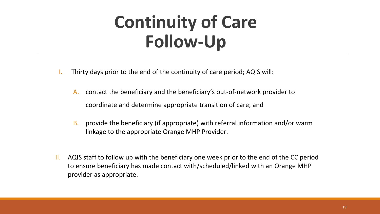# **Continuity of Care Follow-Up**

- Thirty days prior to the end of the continuity of care period; AQIS will:
	- A. contact the beneficiary and the beneficiary's out-of-network provider to coordinate and determine appropriate transition of care; and
	- B. provide the beneficiary (if appropriate) with referral information and/or warm linkage to the appropriate Orange MHP Provider.
- II. AQIS staff to follow up with the beneficiary one week prior to the end of the CC period to ensure beneficiary has made contact with/scheduled/linked with an Orange MHP provider as appropriate.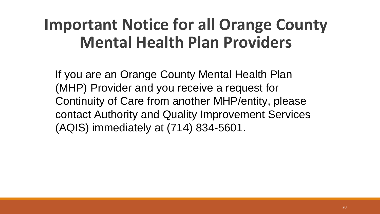### **Important Notice for all Orange County Mental Health Plan Providers**

If you are an Orange County Mental Health Plan (MHP) Provider and you receive a request for Continuity of Care from another MHP/entity, please contact Authority and Quality Improvement Services (AQIS) immediately at (714) 834-5601.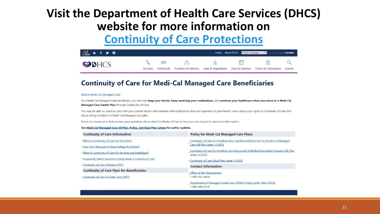#### Visit the Department of Health Care Services (DHCS) website for more information on **Continuity of Care Protections**



#### **Continuity of Care for Medi-Cal Managed Care Beneficiaries**

#### **Back to Medi-Cal Managed Care**

As a Medi-Cal Managed Care beneficiary, you can now keep your doctor, keep receiving your medications, and continue your healthcare when you move to a Medi-Cal Managed Care Health Plan through Continuity of Care.

You may be able to continue care with your current doctor and continue with medications that are important to your health. Learn about your rights to Continuity of Care and about being enrolled in a Medi-Cal Managed Care plan.

Below are resources to help answer your questions about what Continuity of Care is, how you can request it, and more information.

#### See Medi-Cal Managed Care All Plan, Policy, and Dual Plan Letters for policy updates.

| <b>Continuity of Care Information</b>                     | <b>Policy for Medi-Cal Managed Care Plans</b>                                                          |
|-----------------------------------------------------------|--------------------------------------------------------------------------------------------------------|
| What is Continuity of Care for Providers?                 | Continuity of Care for Enrollees who Transitioned from Fee for Service to Managed                      |
| How Can I Request to Keep Seeing My Doctor?               | Care (All Plan Letter 13-023)                                                                          |
| What is Continuity of Care for Services and Medicines?    | Continuity of Care for Enrollees who Requested a Medical Exemption Request (All Plan<br>Letter 13-013) |
| Frequently Asked Questions (FAQ) about Continuity of Care | . Continuity of Care (Dual Plan Letter 13-005)                                                         |
| <b>Continuity of Care Statistics (PDF)</b>                | <b>Contact Information</b>                                                                             |
| <b>Continuity of Care Flyer for Beneficiaries</b>         | Office of the Ombudsman                                                                                |
| Continuity of Care Provider Flyer (PDF)                   | 1-888-452-8609                                                                                         |
|                                                           | Department of Managed Health Care (DMHC) Help Center (Not DHCS)                                        |